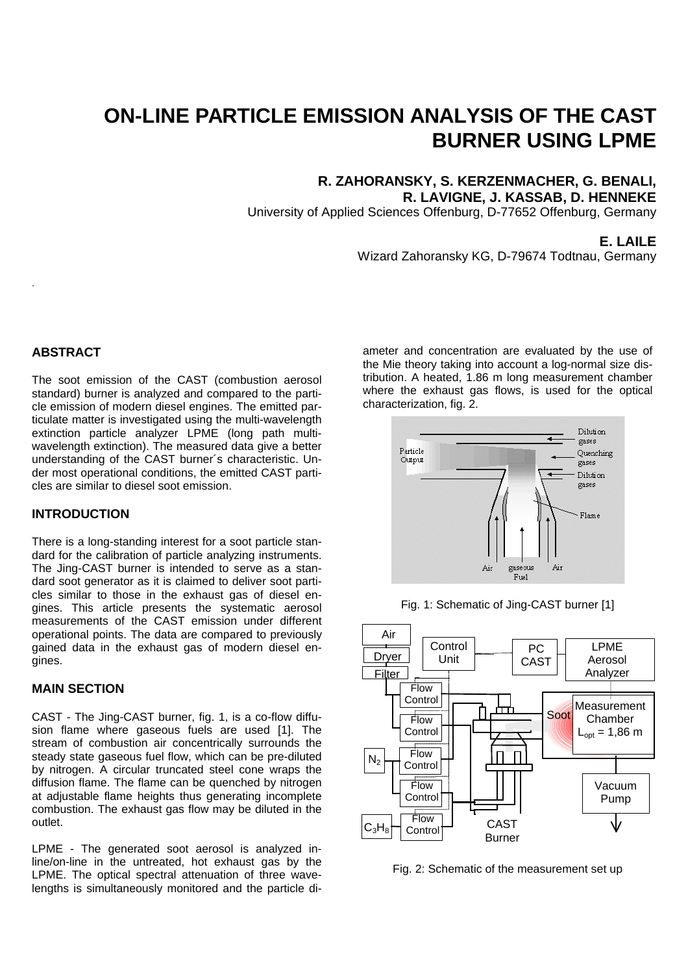# **ON-LINE PARTICLE EMISSION ANALYSIS OF THE CAST BURNER USING LPME**

## **R. ZAHORANSKY, S. KERZENMACHER, G. BENALI, R. LAVIGNE, J. KASSAB, D. HENNEKE**

University of Applied Sciences Offenburg, D-77652 Offenburg, Germany

### **E. LAILE**

Wizard Zahoransky KG, D-79674 Todtnau, Germany

### **ABSTRACT**

.

The soot emission of the CAST (combustion aerosol standard) burner is analyzed and compared to the particle emission of modern diesel engines. The emitted particulate matter is investigated using the multi-wavelength extinction particle analyzer LPME (long path multiwavelength extinction). The measured data give a better understanding of the CAST burner´s characteristic. Under most operational conditions, the emitted CAST particles are similar to diesel soot emission.

### **INTRODUCTION**

There is a long-standing interest for a soot particle standard for the calibration of particle analyzing instruments. The Jing-CAST burner is intended to serve as a standard soot generator as it is claimed to deliver soot particles similar to those in the exhaust gas of diesel engines. This article presents the systematic aerosol measurements of the CAST emission under different operational points. The data are compared to previously gained data in the exhaust gas of modern diesel engines.

## **MAIN SECTION**

CAST - The Jing-CAST burner, fig. 1, is a co-flow diffusion flame where gaseous fuels are used [1]. The stream of combustion air concentrically surrounds the steady state gaseous fuel flow, which can be pre-diluted by nitrogen. A circular truncated steel cone wraps the diffusion flame. The flame can be quenched by nitrogen at adjustable flame heights thus generating incomplete combustion. The exhaust gas flow may be diluted in the outlet.

LPME - The generated soot aerosol is analyzed inline/on-line in the untreated, hot exhaust gas by the LPME. The optical spectral attenuation of three wavelengths is simultaneously monitored and the particle diameter and concentration are evaluated by the use of the Mie theory taking into account a log-normal size distribution. A heated, 1.86 m long measurement chamber where the exhaust gas flows, is used for the optical characterization, fig. 2.



Fig. 1: Schematic of Jing-CAST burner [1]



Fig. 2: Schematic of the measurement set up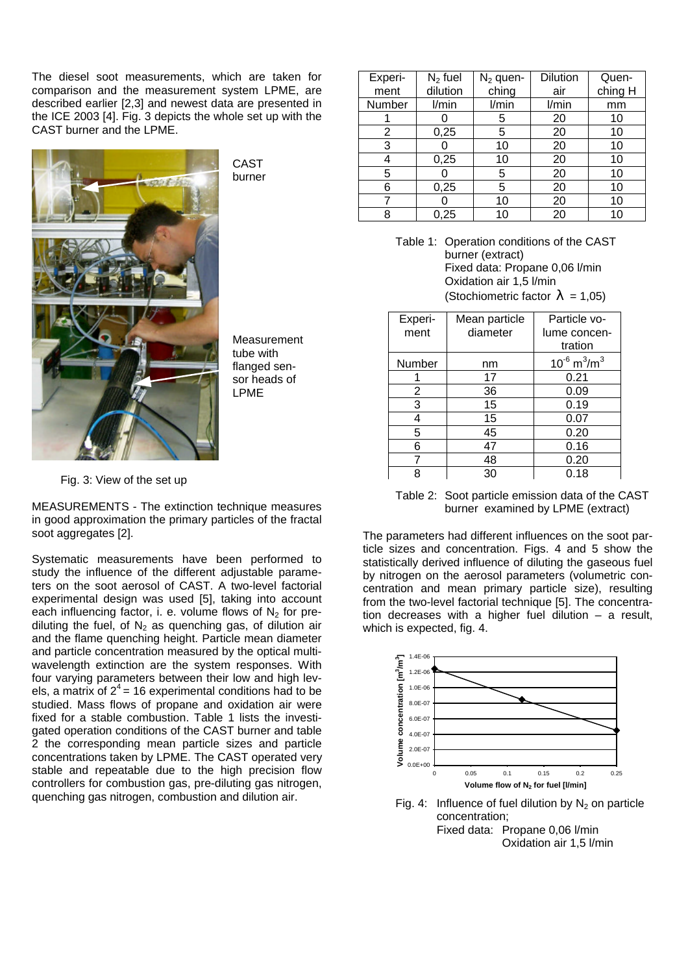The diesel soot measurements, which are taken for comparison and the measurement system LPME, are described earlier [2,3] and newest data are presented in the ICE 2003 [4]. Fig. 3 depicts the whole set up with the CAST burner and the LPME.



**CAST** burner

Measurement tube with flanged sensor heads of LPME

Fig. 3: View of the set up

MEASUREMENTS - The extinction technique measures in good approximation the primary particles of the fractal soot aggregates [2].

Systematic measurements have been performed to study the influence of the different adjustable parameters on the soot aerosol of CAST. A two-level factorial experimental design was used [5], taking into account each influencing factor, i. e. volume flows of  $N<sub>2</sub>$  for prediluting the fuel, of  $N_2$  as quenching gas, of dilution air and the flame quenching height. Particle mean diameter and particle concentration measured by the optical multiwavelength extinction are the system responses. With four varying parameters between their low and high levels, a matrix of  $2^4$  = 16 experimental conditions had to be studied. Mass flows of propane and oxidation air were fixed for a stable combustion. Table 1 lists the investigated operation conditions of the CAST burner and table 2 the corresponding mean particle sizes and particle concentrations taken by LPME. The CAST operated very stable and repeatable due to the high precision flow controllers for combustion gas, pre-diluting gas nitrogen, quenching gas nitrogen, combustion and dilution air.

| Experi- | $N2$ fuel | <b>Dilution</b><br>$N_2$ quen- |       | Quen-   |
|---------|-----------|--------------------------------|-------|---------|
| ment    | dilution  | ching<br>air                   |       | ching H |
| Number  | l/min     | l/min                          | l/min | mm      |
|         |           | 5                              | 20    | 10      |
| 2       | 0,25      | 5                              | 20    | 10      |
| 3       |           | 10                             | 20    | 10      |
|         | 0,25      | 10                             | 20    | 10      |
| 5       |           | 5                              | 20    | 10      |
| 6       | 0,25      | 5                              | 20    | 10      |
|         |           | 10                             | 20    | 10      |
| 8       | 0,25      | 10                             | 20    | 10      |

Table 1: Operation conditions of the CAST burner (extract) Fixed data: Propane 0,06 l/min Oxidation air 1,5 l/min (Stochiometric factor  $I = 1,05$ )

| Experi- | Mean particle | Particle vo-                             |  |  |
|---------|---------------|------------------------------------------|--|--|
| ment    | diameter      | lume concen-                             |  |  |
|         |               | tration                                  |  |  |
| Number  | nm            | $10^{-6}$ m <sup>3</sup> /m <sup>3</sup> |  |  |
|         | 17            | 0.21                                     |  |  |
| 2       | 36            | 0.09                                     |  |  |
| 3       | 15            | 0.19                                     |  |  |
| 4       | 15            | 0.07                                     |  |  |
| 5       | 45            | 0.20                                     |  |  |
| 6       | 47            | 0.16                                     |  |  |
|         | 48            | 0.20                                     |  |  |
| Զ       | 30            | 0.18                                     |  |  |

Table 2: Soot particle emission data of the CAST burner examined by LPME (extract)

The parameters had different influences on the soot particle sizes and concentration. Figs. 4 and 5 show the statistically derived influence of diluting the gaseous fuel by nitrogen on the aerosol parameters (volumetric concentration and mean primary particle size), resulting from the two-level factorial technique [5]. The concentration decreases with a higher fuel dilution – a result, which is expected, fig. 4.



Fig. 4: Influence of fuel dilution by  $N_2$  on particle concentration; Fixed data: Propane 0,06 l/min Oxidation air 1,5 l/min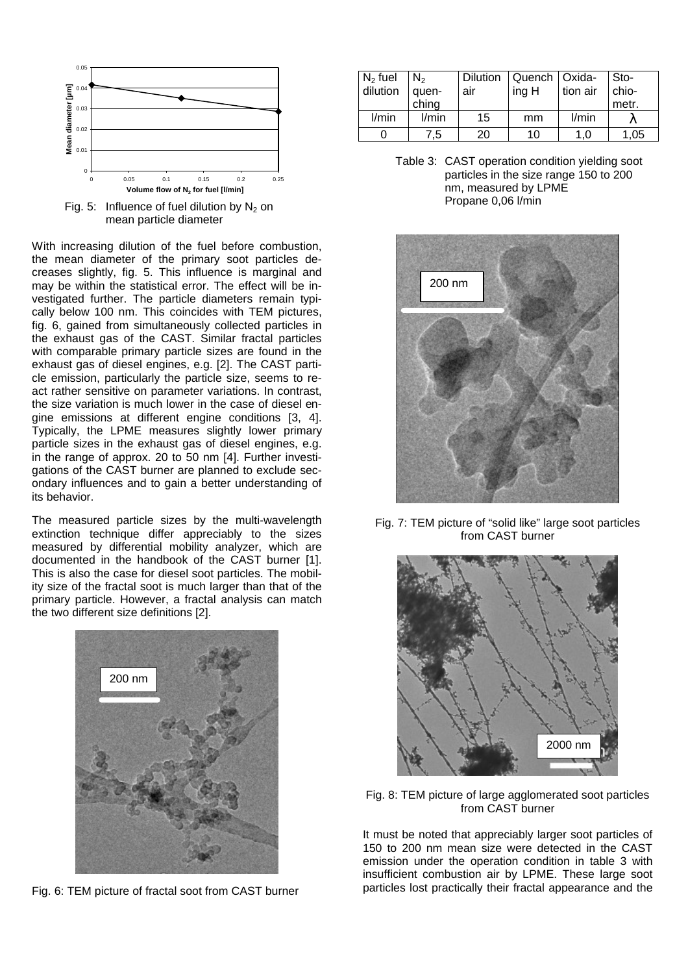

Fig. 5: Influence of fuel dilution by  $N_2$  on mean particle diameter

With increasing dilution of the fuel before combustion, the mean diameter of the primary soot particles decreases slightly, fig. 5. This influence is marginal and may be within the statistical error. The effect will be investigated further. The particle diameters remain typically below 100 nm. This coincides with TEM pictures, fig. 6, gained from simultaneously collected particles in the exhaust gas of the CAST. Similar fractal particles with comparable primary particle sizes are found in the exhaust gas of diesel engines, e.g. [2]. The CAST particle emission, particularly the particle size, seems to react rather sensitive on parameter variations. In contrast, the size variation is much lower in the case of diesel engine emissions at different engine conditions [3, 4]. Typically, the LPME measures slightly lower primary particle sizes in the exhaust gas of diesel engines, e.g. in the range of approx. 20 to 50 nm [4]. Further investigations of the CAST burner are planned to exclude secondary influences and to gain a better understanding of its behavior.

The measured particle sizes by the multi-wavelength extinction technique differ appreciably to the sizes measured by differential mobility analyzer, which are documented in the handbook of the CAST burner [1]. This is also the case for diesel soot particles. The mobility size of the fractal soot is much larger than that of the primary particle. However, a fractal analysis can match the two different size definitions [2].



Fig. 6: TEM picture of fractal soot from CAST burner

| $N_2$ fuel | $N_2$ |     | Dilution   Quench   Oxida- |          | Sto-      |
|------------|-------|-----|----------------------------|----------|-----------|
| dilution   | quen- | air | ing H                      | tion air | chio-     |
|            | ching |     |                            |          | $1$ metr. |
| l/min      | l/min | 15  | mm                         | l/min    |           |
|            | 7.5   | 20  | 10                         | 1.0      | 1.05      |

Table 3: CAST operation condition yielding soot particles in the size range 150 to 200 nm, measured by LPME Propane 0,06 l/min



Fig. 7: TEM picture of "solid like" large soot particles from CAST burner



Fig. 8: TEM picture of large agglomerated soot particles from CAST burner

It must be noted that appreciably larger soot particles of 150 to 200 nm mean size were detected in the CAST emission under the operation condition in table 3 with insufficient combustion air by LPME. These large soot particles lost practically their fractal appearance and the